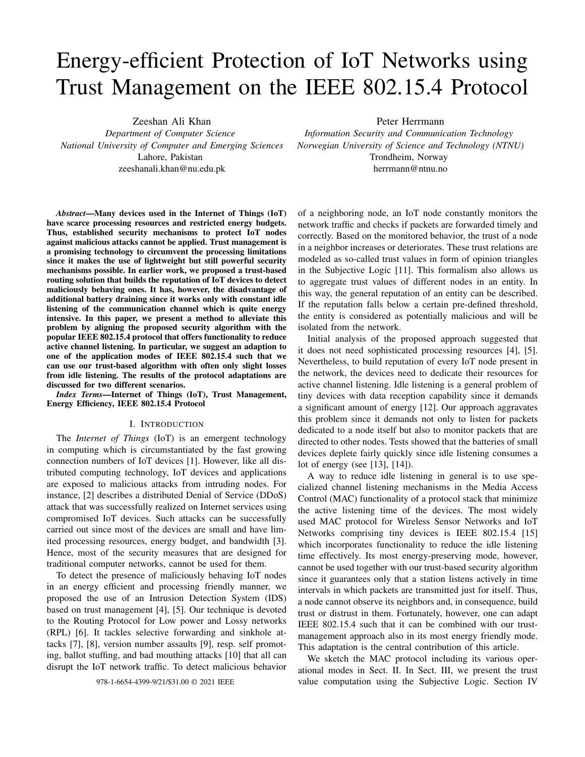# Energy-efficient Protection of IoT Networks using Trust Management on the IEEE 802.15.4 Protocol

Zeeshan Ali Khan

*Department of Computer Science National University of Computer and Emerging Sciences* Lahore, Pakistan zeeshanali.khan@nu.edu.pk

*Abstract*—Many devices used in the Internet of Things (IoT) have scarce processing resources and restricted energy budgets. Thus, established security mechanisms to protect IoT nodes against malicious attacks cannot be applied. Trust management is a promising technology to circumvent the processing limitations since it makes the use of lightweight but still powerful security mechanisms possible. In earlier work, we proposed a trust-based routing solution that builds the reputation of IoT devices to detect maliciously behaving ones. It has, however, the disadvantage of additional battery draining since it works only with constant idle listening of the communication channel which is quite energy intensive. In this paper, we present a method to alleviate this problem by aligning the proposed security algorithm with the popular IEEE 802.15.4 protocol that offers functionality to reduce active channel listening. In particular, we suggest an adaption to one of the application modes of IEEE 802.15.4 such that we can use our trust-based algorithm with often only slight losses from idle listening. The results of the protocol adaptations are discussed for two different scenarios.

*Index Terms*—Internet of Things (IoT), Trust Management, Energy Efficiency, IEEE 802.15.4 Protocol

#### I. INTRODUCTION

The *Internet of Things* (IoT) is an emergent technology in computing which is circumstantiated by the fast growing connection numbers of IoT devices [1]. However, like all distributed computing technology, IoT devices and applications are exposed to malicious attacks from intruding nodes. For instance, [2] describes a distributed Denial of Service (DDoS) attack that was successfully realized on Internet services using compromised IoT devices. Such attacks can be successfully carried out since most of the devices are small and have limited processing resources, energy budget, and bandwidth [3]. Hence, most of the security measures that are designed for traditional computer networks, cannot be used for them.

To detect the presence of maliciously behaving IoT nodes in an energy efficient and processing friendly manner, we proposed the use of an Intrusion Detection System (IDS) based on trust management [4], [5]. Our technique is devoted to the Routing Protocol for Low power and Lossy networks (RPL) [6]. It tackles selective forwarding and sinkhole attacks [7], [8], version number assaults [9], resp. self promoting, ballot stuffing, and bad mouthing attacks [10] that all can disrupt the IoT network traffic. To detect malicious behavior Peter Herrmann

*Information Security and Communication Technology Norwegian University of Science and Technology (NTNU)* Trondheim, Norway herrmann@ntnu.no

of a neighboring node, an IoT node constantly monitors the network traffic and checks if packets are forwarded timely and correctly. Based on the monitored behavior, the trust of a node in a neighbor increases or deteriorates. These trust relations are modeled as so-called trust values in form of opinion triangles in the Subjective Logic [11]. This formalism also allows us to aggregate trust values of different nodes in an entity. In this way, the general reputation of an entity can be described. If the reputation falls below a certain pre-defined threshold, the entity is considered as potentially malicious and will be isolated from the network.

Initial analysis of the proposed approach suggested that it does not need sophisticated processing resources [4], [5]. Nevertheless, to build reputation of every IoT node present in the network, the devices need to dedicate their resources for active channel listening. Idle listening is a general problem of tiny devices with data reception capability since it demands a significant amount of energy [12]. Our approach aggravates this problem since it demands not only to listen for packets dedicated to a node itself but also to monitor packets that are directed to other nodes. Tests showed that the batteries of small devices deplete fairly quickly since idle listening consumes a lot of energy (see [13], [14]).

A way to reduce idle listening in general is to use specialized channel listening mechanisms in the Media Access Control (MAC) functionality of a protocol stack that minimize the active listening time of the devices. The most widely used MAC protocol for Wireless Sensor Networks and IoT Networks comprising tiny devices is IEEE 802.15.4 [15] which incorporates functionality to reduce the idle listening time effectively. Its most energy-preserving mode, however, cannot be used together with our trust-based security algorithm since it guarantees only that a station listens actively in time intervals in which packets are transmitted just for itself. Thus, a node cannot observe its neighbors and, in consequence, build trust or distrust in them. Fortunately, however, one can adapt IEEE 802.15.4 such that it can be combined with our trustmanagement approach also in its most energy friendly mode. This adaptation is the central contribution of this article.

We sketch the MAC protocol including its various operational modes in Sect. II. In Sect. III, we present the trust 978-1-6654-4399-9/21/\$31.00 © 2021 IEEE value computation using the Subjective Logic. Section IV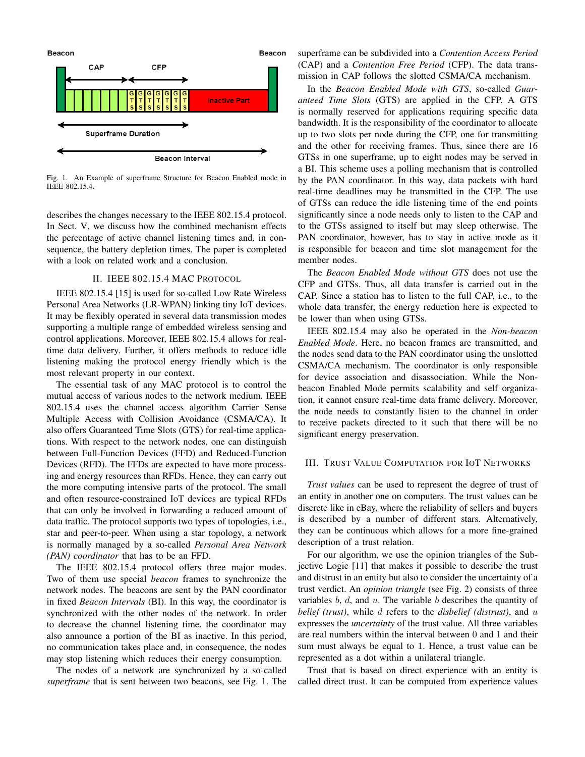

Fig. 1. An Example of superframe Structure for Beacon Enabled mode in IEEE 802.15.4.

describes the changes necessary to the IEEE 802.15.4 protocol. In Sect. V, we discuss how the combined mechanism effects the percentage of active channel listening times and, in consequence, the battery depletion times. The paper is completed with a look on related work and a conclusion.

## II. IEEE 802.15.4 MAC PROTOCOL

IEEE 802.15.4 [15] is used for so-called Low Rate Wireless Personal Area Networks (LR-WPAN) linking tiny IoT devices. It may be flexibly operated in several data transmission modes supporting a multiple range of embedded wireless sensing and control applications. Moreover, IEEE 802.15.4 allows for realtime data delivery. Further, it offers methods to reduce idle listening making the protocol energy friendly which is the most relevant property in our context.

The essential task of any MAC protocol is to control the mutual access of various nodes to the network medium. IEEE 802.15.4 uses the channel access algorithm Carrier Sense Multiple Access with Collision Avoidance (CSMA/CA). It also offers Guaranteed Time Slots (GTS) for real-time applications. With respect to the network nodes, one can distinguish between Full-Function Devices (FFD) and Reduced-Function Devices (RFD). The FFDs are expected to have more processing and energy resources than RFDs. Hence, they can carry out the more computing intensive parts of the protocol. The small and often resource-constrained IoT devices are typical RFDs that can only be involved in forwarding a reduced amount of data traffic. The protocol supports two types of topologies, i.e., star and peer-to-peer. When using a star topology, a network is normally managed by a so-called *Personal Area Network (PAN) coordinator* that has to be an FFD.

The IEEE 802.15.4 protocol offers three major modes. Two of them use special *beacon* frames to synchronize the network nodes. The beacons are sent by the PAN coordinator in fixed *Beacon Intervals* (BI). In this way, the coordinator is synchronized with the other nodes of the network. In order to decrease the channel listening time, the coordinator may also announce a portion of the BI as inactive. In this period, no communication takes place and, in consequence, the nodes may stop listening which reduces their energy consumption.

The nodes of a network are synchronized by a so-called *superframe* that is sent between two beacons, see Fig. 1. The

superframe can be subdivided into a *Contention Access Period* (CAP) and a *Contention Free Period* (CFP). The data transmission in CAP follows the slotted CSMA/CA mechanism.

In the *Beacon Enabled Mode with GTS*, so-called *Guaranteed Time Slots* (GTS) are applied in the CFP. A GTS is normally reserved for applications requiring specific data bandwidth. It is the responsibility of the coordinator to allocate up to two slots per node during the CFP, one for transmitting and the other for receiving frames. Thus, since there are 16 GTSs in one superframe, up to eight nodes may be served in a BI. This scheme uses a polling mechanism that is controlled by the PAN coordinator. In this way, data packets with hard real-time deadlines may be transmitted in the CFP. The use of GTSs can reduce the idle listening time of the end points significantly since a node needs only to listen to the CAP and to the GTSs assigned to itself but may sleep otherwise. The PAN coordinator, however, has to stay in active mode as it is responsible for beacon and time slot management for the member nodes.

The *Beacon Enabled Mode without GTS* does not use the CFP and GTSs. Thus, all data transfer is carried out in the CAP. Since a station has to listen to the full CAP, i.e., to the whole data transfer, the energy reduction here is expected to be lower than when using GTSs.

IEEE 802.15.4 may also be operated in the *Non-beacon Enabled Mode*. Here, no beacon frames are transmitted, and the nodes send data to the PAN coordinator using the unslotted CSMA/CA mechanism. The coordinator is only responsible for device association and disassociation. While the Nonbeacon Enabled Mode permits scalability and self organization, it cannot ensure real-time data frame delivery. Moreover, the node needs to constantly listen to the channel in order to receive packets directed to it such that there will be no significant energy preservation.

### III. TRUST VALUE COMPUTATION FOR IOT NETWORKS

*Trust values* can be used to represent the degree of trust of an entity in another one on computers. The trust values can be discrete like in eBay, where the reliability of sellers and buyers is described by a number of different stars. Alternatively, they can be continuous which allows for a more fine-grained description of a trust relation.

For our algorithm, we use the opinion triangles of the Subjective Logic [11] that makes it possible to describe the trust and distrust in an entity but also to consider the uncertainty of a trust verdict. An *opinion triangle* (see Fig. 2) consists of three variables  $b, d$ , and  $u$ . The variable  $b$  describes the quantity of *belief (trust)*, while d refers to the *disbelief (distrust)*, and u expresses the *uncertainty* of the trust value. All three variables are real numbers within the interval between 0 and 1 and their sum must always be equal to 1. Hence, a trust value can be represented as a dot within a unilateral triangle.

Trust that is based on direct experience with an entity is called direct trust. It can be computed from experience values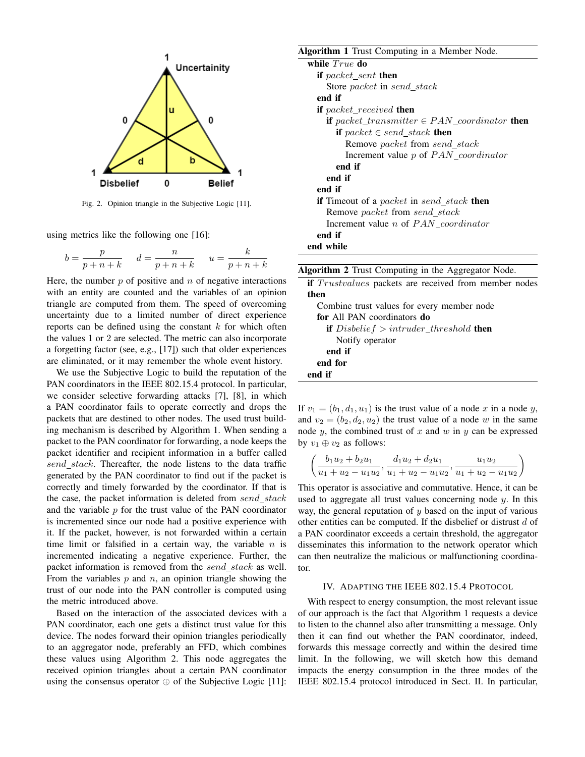

Fig. 2. Opinion triangle in the Subjective Logic [11].

using metrics like the following one [16]:

$$
b = \frac{p}{p+n+k} \quad d = \frac{n}{p+n+k} \quad u = \frac{k}{p+n+k}
$$

Here, the number  $p$  of positive and  $n$  of negative interactions with an entity are counted and the variables of an opinion triangle are computed from them. The speed of overcoming uncertainty due to a limited number of direct experience reports can be defined using the constant  $k$  for which often the values 1 or 2 are selected. The metric can also incorporate a forgetting factor (see, e.g., [17]) such that older experiences are eliminated, or it may remember the whole event history.

We use the Subjective Logic to build the reputation of the PAN coordinators in the IEEE 802.15.4 protocol. In particular, we consider selective forwarding attacks [7], [8], in which a PAN coordinator fails to operate correctly and drops the packets that are destined to other nodes. The used trust building mechanism is described by Algorithm 1. When sending a packet to the PAN coordinator for forwarding, a node keeps the packet identifier and recipient information in a buffer called send stack. Thereafter, the node listens to the data traffic generated by the PAN coordinator to find out if the packet is correctly and timely forwarded by the coordinator. If that is the case, the packet information is deleted from send\_stack and the variable  $p$  for the trust value of the PAN coordinator is incremented since our node had a positive experience with it. If the packet, however, is not forwarded within a certain time limit or falsified in a certain way, the variable  $n$  is incremented indicating a negative experience. Further, the packet information is removed from the send\_stack as well. From the variables  $p$  and  $n$ , an opinion triangle showing the trust of our node into the PAN controller is computed using the metric introduced above.

Based on the interaction of the associated devices with a PAN coordinator, each one gets a distinct trust value for this device. The nodes forward their opinion triangles periodically to an aggregator node, preferably an FFD, which combines these values using Algorithm 2. This node aggregates the received opinion triangles about a certain PAN coordinator using the consensus operator  $\oplus$  of the Subjective Logic [11]:

| <b>Algorithm 1</b> Trust Computing in a Member Node.           |
|----------------------------------------------------------------|
| while <i>True</i> do                                           |
| if packet_sent then                                            |
| Store packet in send stack                                     |
| end if                                                         |
| <b>if</b> packet received <b>then</b>                          |
| <b>if</b> packet transmitter $\in$ PAN coordinator <b>then</b> |
| if packet $\in$ send_stack then                                |
| Remove packet from send stack                                  |
| Increment value $p$ of $PAN\_coordinate$                       |
| end if                                                         |
| end if                                                         |
| end if                                                         |
| <b>if</b> Timeout of a packet in send_stack <b>then</b>        |
| Remove <i>packet</i> from send stack                           |
| Increment value <i>n</i> of $PAN$ <i>coordinator</i>           |
| end if                                                         |
| end while                                                      |
|                                                                |

|  |  |  |  |  |  | Algorithm 2 Trust Computing in the Aggregator Node. |  |
|--|--|--|--|--|--|-----------------------------------------------------|--|
|--|--|--|--|--|--|-----------------------------------------------------|--|

| <b>if</b> <i>Trustvalues</i> packets are received from member nodes |
|---------------------------------------------------------------------|
| then                                                                |
| Combine trust values for every member node                          |
| for All PAN coordinators do                                         |
| <b>if</b> $Disbelief > intruder\_threshold$ then                    |
| Notify operator                                                     |
| end if                                                              |
| end for                                                             |
| end if                                                              |
|                                                                     |

If  $v_1 = (b_1, d_1, u_1)$  is the trust value of a node x in a node y, and  $v_2 = (b_2, d_2, u_2)$  the trust value of a node w in the same node  $y$ , the combined trust of  $x$  and  $w$  in  $y$  can be expressed by  $v_1 \oplus v_2$  as follows:

$$
\left(\frac{b_1u_2 + b_2u_1}{u_1 + u_2 - u_1u_2}, \frac{d_1u_2 + d_2u_1}{u_1 + u_2 - u_1u_2}, \frac{u_1u_2}{u_1 + u_2 - u_1u_2}\right)
$$

This operator is associative and commutative. Hence, it can be used to aggregate all trust values concerning node  $y$ . In this way, the general reputation of  $y$  based on the input of various other entities can be computed. If the disbelief or distrust  $d$  of a PAN coordinator exceeds a certain threshold, the aggregator disseminates this information to the network operator which can then neutralize the malicious or malfunctioning coordinator.

#### IV. ADAPTING THE IEEE 802.15.4 PROTOCOL

With respect to energy consumption, the most relevant issue of our approach is the fact that Algorithm 1 requests a device to listen to the channel also after transmitting a message. Only then it can find out whether the PAN coordinator, indeed, forwards this message correctly and within the desired time limit. In the following, we will sketch how this demand impacts the energy consumption in the three modes of the IEEE 802.15.4 protocol introduced in Sect. II. In particular,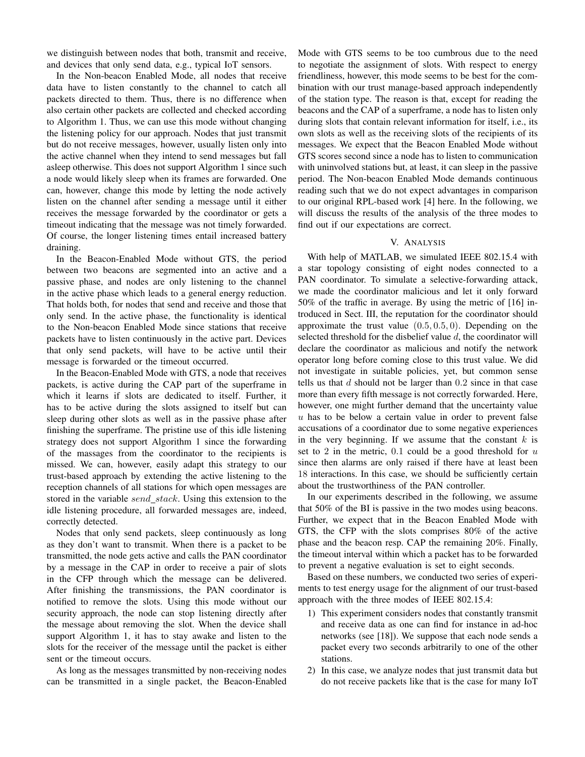we distinguish between nodes that both, transmit and receive, and devices that only send data, e.g., typical IoT sensors.

In the Non-beacon Enabled Mode, all nodes that receive data have to listen constantly to the channel to catch all packets directed to them. Thus, there is no difference when also certain other packets are collected and checked according to Algorithm 1. Thus, we can use this mode without changing the listening policy for our approach. Nodes that just transmit but do not receive messages, however, usually listen only into the active channel when they intend to send messages but fall asleep otherwise. This does not support Algorithm 1 since such a node would likely sleep when its frames are forwarded. One can, however, change this mode by letting the node actively listen on the channel after sending a message until it either receives the message forwarded by the coordinator or gets a timeout indicating that the message was not timely forwarded. Of course, the longer listening times entail increased battery draining.

In the Beacon-Enabled Mode without GTS, the period between two beacons are segmented into an active and a passive phase, and nodes are only listening to the channel in the active phase which leads to a general energy reduction. That holds both, for nodes that send and receive and those that only send. In the active phase, the functionality is identical to the Non-beacon Enabled Mode since stations that receive packets have to listen continuously in the active part. Devices that only send packets, will have to be active until their message is forwarded or the timeout occurred.

In the Beacon-Enabled Mode with GTS, a node that receives packets, is active during the CAP part of the superframe in which it learns if slots are dedicated to itself. Further, it has to be active during the slots assigned to itself but can sleep during other slots as well as in the passive phase after finishing the superframe. The pristine use of this idle listening strategy does not support Algorithm 1 since the forwarding of the massages from the coordinator to the recipients is missed. We can, however, easily adapt this strategy to our trust-based approach by extending the active listening to the reception channels of all stations for which open messages are stored in the variable send\_stack. Using this extension to the idle listening procedure, all forwarded messages are, indeed, correctly detected.

Nodes that only send packets, sleep continuously as long as they don't want to transmit. When there is a packet to be transmitted, the node gets active and calls the PAN coordinator by a message in the CAP in order to receive a pair of slots in the CFP through which the message can be delivered. After finishing the transmissions, the PAN coordinator is notified to remove the slots. Using this mode without our security approach, the node can stop listening directly after the message about removing the slot. When the device shall support Algorithm 1, it has to stay awake and listen to the slots for the receiver of the message until the packet is either sent or the timeout occurs.

As long as the messages transmitted by non-receiving nodes can be transmitted in a single packet, the Beacon-Enabled Mode with GTS seems to be too cumbrous due to the need to negotiate the assignment of slots. With respect to energy friendliness, however, this mode seems to be best for the combination with our trust manage-based approach independently of the station type. The reason is that, except for reading the beacons and the CAP of a superframe, a node has to listen only during slots that contain relevant information for itself, i.e., its own slots as well as the receiving slots of the recipients of its messages. We expect that the Beacon Enabled Mode without GTS scores second since a node has to listen to communication with uninvolved stations but, at least, it can sleep in the passive period. The Non-beacon Enabled Mode demands continuous reading such that we do not expect advantages in comparison to our original RPL-based work [4] here. In the following, we will discuss the results of the analysis of the three modes to find out if our expectations are correct.

#### V. ANALYSIS

With help of MATLAB, we simulated IEEE 802.15.4 with a star topology consisting of eight nodes connected to a PAN coordinator. To simulate a selective-forwarding attack, we made the coordinator malicious and let it only forward 50% of the traffic in average. By using the metric of [16] introduced in Sect. III, the reputation for the coordinator should approximate the trust value  $(0.5, 0.5, 0)$ . Depending on the selected threshold for the disbelief value  $d$ , the coordinator will declare the coordinator as malicious and notify the network operator long before coming close to this trust value. We did not investigate in suitable policies, yet, but common sense tells us that  $d$  should not be larger than  $0.2$  since in that case more than every fifth message is not correctly forwarded. Here, however, one might further demand that the uncertainty value  $u$  has to be below a certain value in order to prevent false accusations of a coordinator due to some negative experiences in the very beginning. If we assume that the constant  $k$  is set to 2 in the metric,  $0.1$  could be a good threshold for  $u$ since then alarms are only raised if there have at least been 18 interactions. In this case, we should be sufficiently certain about the trustworthiness of the PAN controller.

In our experiments described in the following, we assume that 50% of the BI is passive in the two modes using beacons. Further, we expect that in the Beacon Enabled Mode with GTS, the CFP with the slots comprises 80% of the active phase and the beacon resp. CAP the remaining 20%. Finally, the timeout interval within which a packet has to be forwarded to prevent a negative evaluation is set to eight seconds.

Based on these numbers, we conducted two series of experiments to test energy usage for the alignment of our trust-based approach with the three modes of IEEE 802.15.4:

- 1) This experiment considers nodes that constantly transmit and receive data as one can find for instance in ad-hoc networks (see [18]). We suppose that each node sends a packet every two seconds arbitrarily to one of the other stations.
- 2) In this case, we analyze nodes that just transmit data but do not receive packets like that is the case for many IoT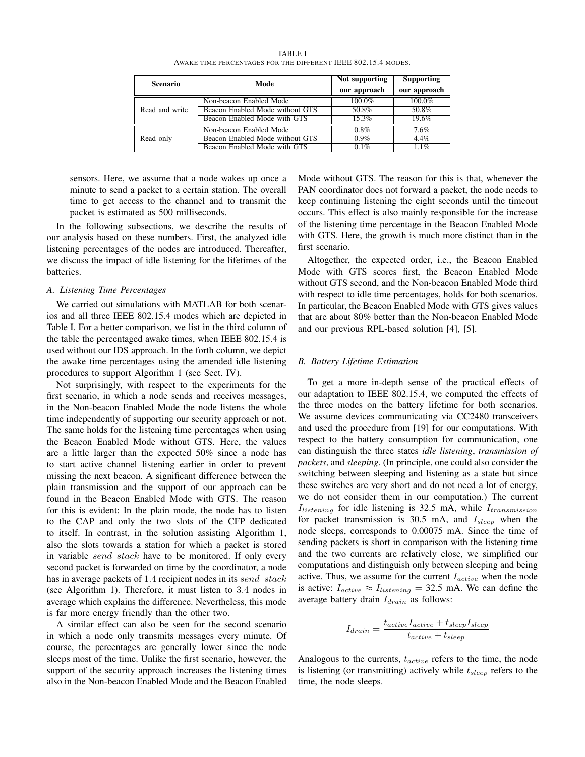TABLE I AWAKE TIME PERCENTAGES FOR THE DIFFERENT IEEE 802.15.4 MODES.

| <b>Scenario</b> | Mode                            | Not supporting | <b>Supporting</b> |
|-----------------|---------------------------------|----------------|-------------------|
|                 |                                 | our approach   | our approach      |
| Read and write  | Non-beacon Enabled Mode         | $100.0\%$      | 100.0%            |
|                 | Beacon Enabled Mode without GTS | 50.8%          | 50.8%             |
|                 | Beacon Enabled Mode with GTS    | 15.3%          | 19.6%             |
| Read only       | Non-beacon Enabled Mode         | $0.8\%$        | 7.6%              |
|                 | Beacon Enabled Mode without GTS | $0.9\%$        | 4.4%              |
|                 | Beacon Enabled Mode with GTS    | 0.1%           | 1.1%              |

sensors. Here, we assume that a node wakes up once a minute to send a packet to a certain station. The overall time to get access to the channel and to transmit the packet is estimated as 500 milliseconds.

In the following subsections, we describe the results of our analysis based on these numbers. First, the analyzed idle listening percentages of the nodes are introduced. Thereafter, we discuss the impact of idle listening for the lifetimes of the batteries.

### *A. Listening Time Percentages*

We carried out simulations with MATLAB for both scenarios and all three IEEE 802.15.4 modes which are depicted in Table I. For a better comparison, we list in the third column of the table the percentaged awake times, when IEEE 802.15.4 is used without our IDS approach. In the forth column, we depict the awake time percentages using the amended idle listening procedures to support Algorithm 1 (see Sect. IV).

Not surprisingly, with respect to the experiments for the first scenario, in which a node sends and receives messages, in the Non-beacon Enabled Mode the node listens the whole time independently of supporting our security approach or not. The same holds for the listening time percentages when using the Beacon Enabled Mode without GTS. Here, the values are a little larger than the expected 50% since a node has to start active channel listening earlier in order to prevent missing the next beacon. A significant difference between the plain transmission and the support of our approach can be found in the Beacon Enabled Mode with GTS. The reason for this is evident: In the plain mode, the node has to listen to the CAP and only the two slots of the CFP dedicated to itself. In contrast, in the solution assisting Algorithm 1, also the slots towards a station for which a packet is stored in variable send\_stack have to be monitored. If only every second packet is forwarded on time by the coordinator, a node has in average packets of 1.4 recipient nodes in its send\_stack (see Algorithm 1). Therefore, it must listen to 3.4 nodes in average which explains the difference. Nevertheless, this mode is far more energy friendly than the other two.

A similar effect can also be seen for the second scenario in which a node only transmits messages every minute. Of course, the percentages are generally lower since the node sleeps most of the time. Unlike the first scenario, however, the support of the security approach increases the listening times also in the Non-beacon Enabled Mode and the Beacon Enabled Mode without GTS. The reason for this is that, whenever the PAN coordinator does not forward a packet, the node needs to keep continuing listening the eight seconds until the timeout occurs. This effect is also mainly responsible for the increase of the listening time percentage in the Beacon Enabled Mode with GTS. Here, the growth is much more distinct than in the first scenario.

Altogether, the expected order, i.e., the Beacon Enabled Mode with GTS scores first, the Beacon Enabled Mode without GTS second, and the Non-beacon Enabled Mode third with respect to idle time percentages, holds for both scenarios. In particular, the Beacon Enabled Mode with GTS gives values that are about 80% better than the Non-beacon Enabled Mode and our previous RPL-based solution [4], [5].

#### *B. Battery Lifetime Estimation*

To get a more in-depth sense of the practical effects of our adaptation to IEEE 802.15.4, we computed the effects of the three modes on the battery lifetime for both scenarios. We assume devices communicating via CC2480 transceivers and used the procedure from [19] for our computations. With respect to the battery consumption for communication, one can distinguish the three states *idle listening*, *transmission of packets*, and *sleeping*. (In principle, one could also consider the switching between sleeping and listening as a state but since these switches are very short and do not need a lot of energy, we do not consider them in our computation.) The current  $I_{listening}$  for idle listening is 32.5 mA, while  $I_{transmission}$ for packet transmission is 30.5 mA, and  $I_{sleep}$  when the node sleeps, corresponds to 0.00075 mA. Since the time of sending packets is short in comparison with the listening time and the two currents are relatively close, we simplified our computations and distinguish only between sleeping and being active. Thus, we assume for the current  $I_{active}$  when the node is active:  $I_{active} \approx I_{listening} = 32.5 \text{ mA}$ . We can define the average battery drain  $I_{drain}$  as follows:

$$
I_{drain} = \frac{t_{active}I_{active} + t_{sleep}I_{sleep}}{t_{active} + t_{sleep}}
$$

Analogous to the currents,  $t_{active}$  refers to the time, the node is listening (or transmitting) actively while  $t_{sleep}$  refers to the time, the node sleeps.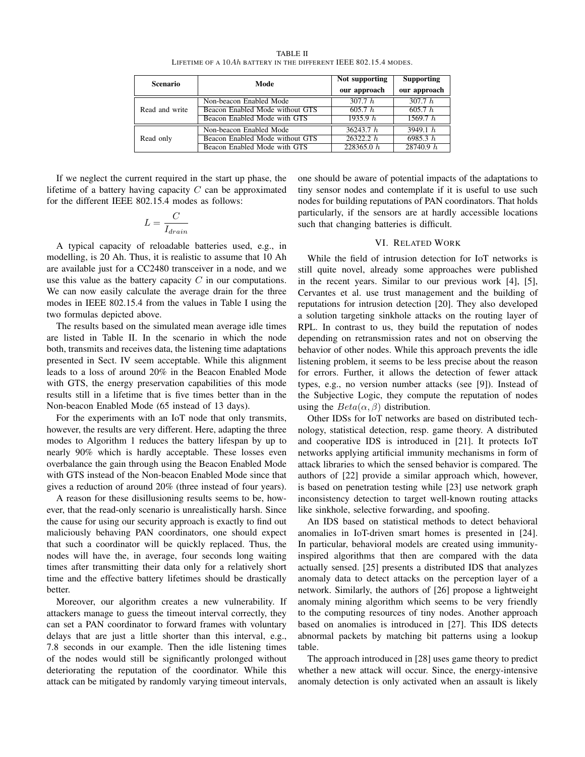TABLE II LIFETIME OF A 10Ah BATTERY IN THE DIFFERENT IEEE 802.15.4 MODES.

| <b>Scenario</b> | Mode                            | Not supporting | <b>Supporting</b> |
|-----------------|---------------------------------|----------------|-------------------|
|                 |                                 | our approach   | our approach      |
| Read and write  | Non-beacon Enabled Mode         | 307.7 h        | 307.7 h           |
|                 | Beacon Enabled Mode without GTS | 605.7 h        | 605.7 h           |
|                 | Beacon Enabled Mode with GTS    | 1935.9 $h$     | 1569.7 h          |
| Read only       | Non-beacon Enabled Mode         | 36243.7 h      | 3949.1 h          |
|                 | Beacon Enabled Mode without GTS | 26322.2 h      | 6985.3 h          |
|                 | Beacon Enabled Mode with GTS    | 228365.0 h     | 28740.9 h         |

If we neglect the current required in the start up phase, the lifetime of a battery having capacity  $C$  can be approximated for the different IEEE 802.15.4 modes as follows:

$$
L = \frac{C}{I_{drain}}
$$

A typical capacity of reloadable batteries used, e.g., in modelling, is 20 Ah. Thus, it is realistic to assume that 10 Ah are available just for a CC2480 transceiver in a node, and we use this value as the battery capacity  $C$  in our computations. We can now easily calculate the average drain for the three modes in IEEE 802.15.4 from the values in Table I using the two formulas depicted above.

The results based on the simulated mean average idle times are listed in Table II. In the scenario in which the node both, transmits and receives data, the listening time adaptations presented in Sect. IV seem acceptable. While this alignment leads to a loss of around 20% in the Beacon Enabled Mode with GTS, the energy preservation capabilities of this mode results still in a lifetime that is five times better than in the Non-beacon Enabled Mode (65 instead of 13 days).

For the experiments with an IoT node that only transmits, however, the results are very different. Here, adapting the three modes to Algorithm 1 reduces the battery lifespan by up to nearly 90% which is hardly acceptable. These losses even overbalance the gain through using the Beacon Enabled Mode with GTS instead of the Non-beacon Enabled Mode since that gives a reduction of around 20% (three instead of four years).

A reason for these disillusioning results seems to be, however, that the read-only scenario is unrealistically harsh. Since the cause for using our security approach is exactly to find out maliciously behaving PAN coordinators, one should expect that such a coordinator will be quickly replaced. Thus, the nodes will have the, in average, four seconds long waiting times after transmitting their data only for a relatively short time and the effective battery lifetimes should be drastically better.

Moreover, our algorithm creates a new vulnerability. If attackers manage to guess the timeout interval correctly, they can set a PAN coordinator to forward frames with voluntary delays that are just a little shorter than this interval, e.g., 7.8 seconds in our example. Then the idle listening times of the nodes would still be significantly prolonged without deteriorating the reputation of the coordinator. While this attack can be mitigated by randomly varying timeout intervals,

one should be aware of potential impacts of the adaptations to tiny sensor nodes and contemplate if it is useful to use such nodes for building reputations of PAN coordinators. That holds particularly, if the sensors are at hardly accessible locations such that changing batteries is difficult.

## VI. RELATED WORK

While the field of intrusion detection for IoT networks is still quite novel, already some approaches were published in the recent years. Similar to our previous work [4], [5], Cervantes et al. use trust management and the building of reputations for intrusion detection [20]. They also developed a solution targeting sinkhole attacks on the routing layer of RPL. In contrast to us, they build the reputation of nodes depending on retransmission rates and not on observing the behavior of other nodes. While this approach prevents the idle listening problem, it seems to be less precise about the reason for errors. Further, it allows the detection of fewer attack types, e.g., no version number attacks (see [9]). Instead of the Subjective Logic, they compute the reputation of nodes using the  $Beta(\alpha, \beta)$  distribution.

Other IDSs for IoT networks are based on distributed technology, statistical detection, resp. game theory. A distributed and cooperative IDS is introduced in [21]. It protects IoT networks applying artificial immunity mechanisms in form of attack libraries to which the sensed behavior is compared. The authors of [22] provide a similar approach which, however, is based on penetration testing while [23] use network graph inconsistency detection to target well-known routing attacks like sinkhole, selective forwarding, and spoofing.

An IDS based on statistical methods to detect behavioral anomalies in IoT-driven smart homes is presented in [24]. In particular, behavioral models are created using immunityinspired algorithms that then are compared with the data actually sensed. [25] presents a distributed IDS that analyzes anomaly data to detect attacks on the perception layer of a network. Similarly, the authors of [26] propose a lightweight anomaly mining algorithm which seems to be very friendly to the computing resources of tiny nodes. Another approach based on anomalies is introduced in [27]. This IDS detects abnormal packets by matching bit patterns using a lookup table.

The approach introduced in [28] uses game theory to predict whether a new attack will occur. Since, the energy-intensive anomaly detection is only activated when an assault is likely